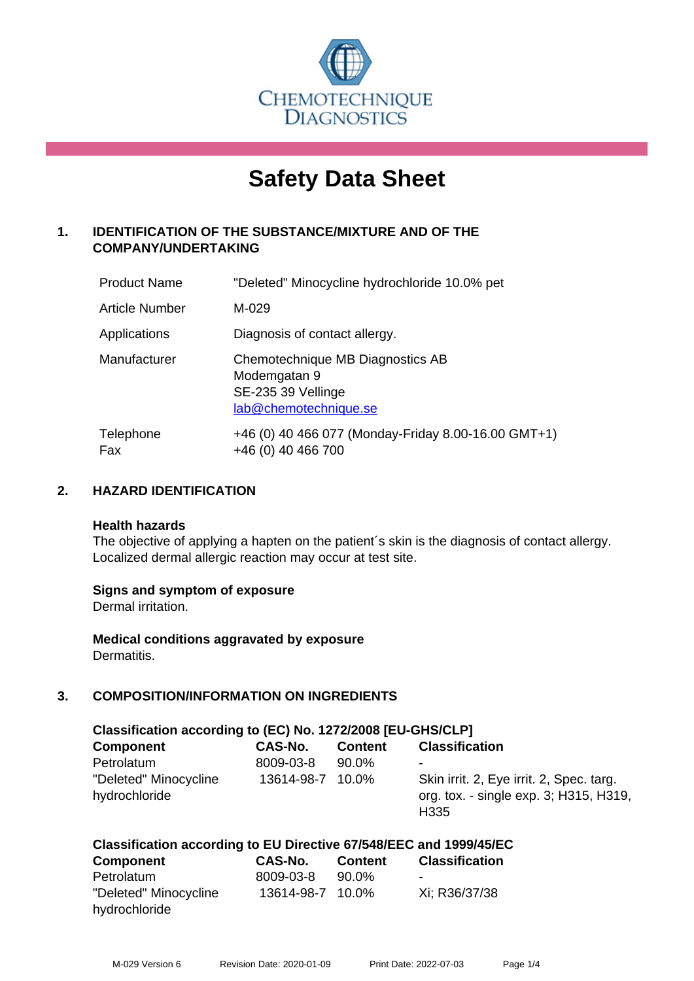

# **Safety Data Sheet**

# **1. IDENTIFICATION OF THE SUBSTANCE/MIXTURE AND OF THE COMPANY/UNDERTAKING**

| <b>Product Name</b>   | "Deleted" Minocycline hydrochloride 10.0% pet                                                   |
|-----------------------|-------------------------------------------------------------------------------------------------|
| <b>Article Number</b> | M-029                                                                                           |
| Applications          | Diagnosis of contact allergy.                                                                   |
| Manufacturer          | Chemotechnique MB Diagnostics AB<br>Modemgatan 9<br>SE-235 39 Vellinge<br>lab@chemotechnique.se |
| Telephone<br>Fax      | +46 (0) 40 466 077 (Monday-Friday 8.00-16.00 GMT+1)<br>+46 (0) 40 466 700                       |

# **2. HAZARD IDENTIFICATION**

#### **Health hazards**

The objective of applying a hapten on the patient's skin is the diagnosis of contact allergy. Localized dermal allergic reaction may occur at test site.

#### **Signs and symptom of exposure**

Dermal irritation.

**Medical conditions aggravated by exposure** Dermatitis.

# **3. COMPOSITION/INFORMATION ON INGREDIENTS**

| Classification according to (EC) No. 1272/2008 [EU-GHS/CLP] |            |                |                                                                                                        |  |
|-------------------------------------------------------------|------------|----------------|--------------------------------------------------------------------------------------------------------|--|
| <b>Component</b>                                            | CAS-No.    | <b>Content</b> | <b>Classification</b>                                                                                  |  |
| Petrolatum                                                  | 8009-03-8  | $90.0\%$       | -                                                                                                      |  |
| "Deleted" Minocycline<br>hydrochloride                      | 13614-98-7 | 10.0%          | Skin irrit. 2, Eye irrit. 2, Spec. targ.<br>org. tox. - single exp. 3; H315, H319,<br>H <sub>335</sub> |  |

#### **Classification according to EU Directive 67/548/EEC and 1999/45/EC**

| <b>Component</b>      | CAS-No.          | <b>Content</b> | <b>Classification</b> |
|-----------------------|------------------|----------------|-----------------------|
| Petrolatum            | 8009-03-8        | 90.0%          | -                     |
| "Deleted" Minocycline | 13614-98-7 10.0% |                | Xi: R36/37/38         |
| hydrochloride         |                  |                |                       |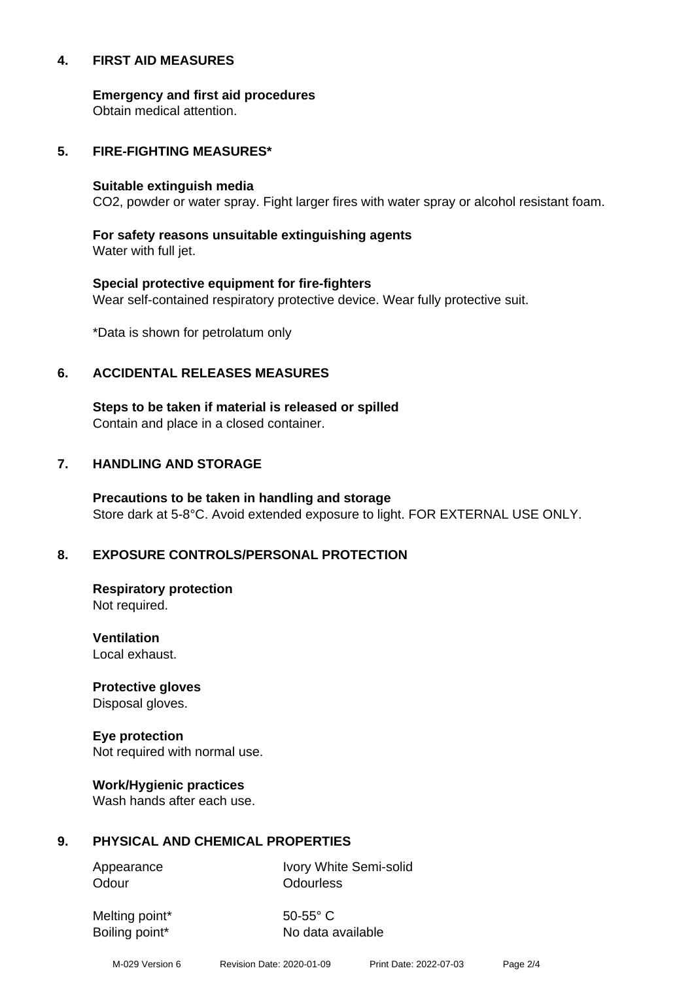#### **4. FIRST AID MEASURES**

**Emergency and first aid procedures**

Obtain medical attention.

#### **5. FIRE-FIGHTING MEASURES\***

#### **Suitable extinguish media**

CO2, powder or water spray. Fight larger fires with water spray or alcohol resistant foam.

# **For safety reasons unsuitable extinguishing agents**

Water with full jet.

# **Special protective equipment for fire-fighters** Wear self-contained respiratory protective device. Wear fully protective suit.

\*Data is shown for petrolatum only

## **6. ACCIDENTAL RELEASES MEASURES**

**Steps to be taken if material is released or spilled** Contain and place in a closed container.

# **7. HANDLING AND STORAGE**

**Precautions to be taken in handling and storage** Store dark at 5-8°C. Avoid extended exposure to light. FOR EXTERNAL USE ONLY.

# **8. EXPOSURE CONTROLS/PERSONAL PROTECTION**

**Respiratory protection** Not required.

**Ventilation** Local exhaust.

**Protective gloves** Disposal gloves.

# **Eye protection**

Not required with normal use.

#### **Work/Hygienic practices**

Wash hands after each use.

#### **9. PHYSICAL AND CHEMICAL PROPERTIES**

Odour **Odourless** 

Appearance Ivory White Semi-solid

Melting point\* 50-55° C

Boiling point\* No data available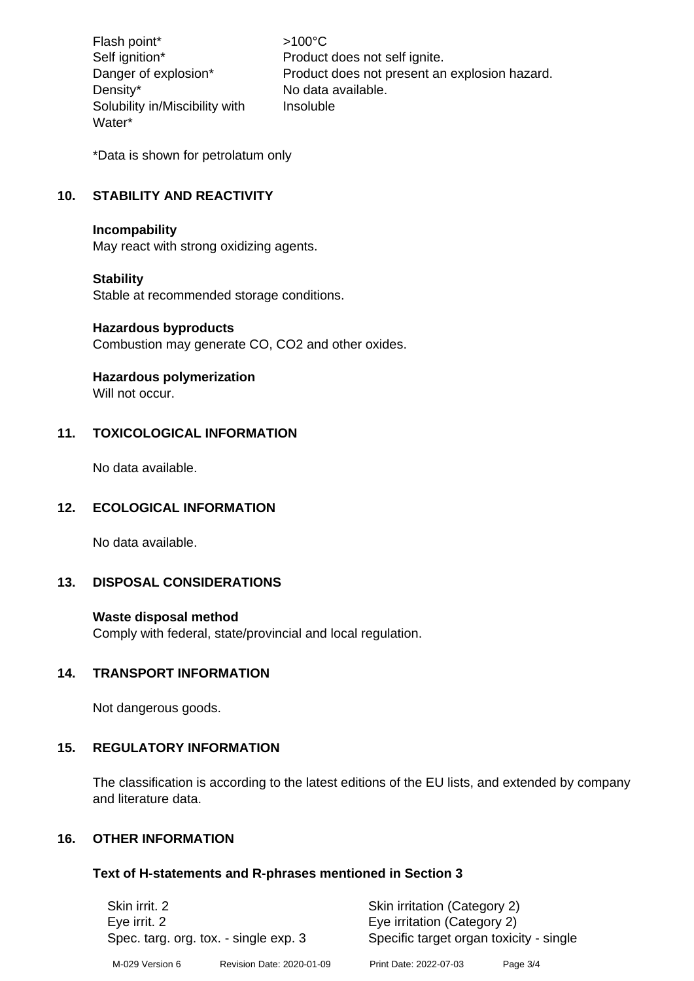Flash point\*  $>100^{\circ}$ C Density\* No data available. Solubility in/Miscibility with Water\*

Self ignition\* Product does not self ignite. Danger of explosion\* Product does not present an explosion hazard. Insoluble

\*Data is shown for petrolatum only

# **10. STABILITY AND REACTIVITY**

#### **Incompability**

May react with strong oxidizing agents.

#### **Stability**

Stable at recommended storage conditions.

#### **Hazardous byproducts**

Combustion may generate CO, CO2 and other oxides.

#### **Hazardous polymerization**

Will not occur.

## **11. TOXICOLOGICAL INFORMATION**

No data available.

#### **12. ECOLOGICAL INFORMATION**

No data available.

# **13. DISPOSAL CONSIDERATIONS**

#### **Waste disposal method**

Comply with federal, state/provincial and local regulation.

#### **14. TRANSPORT INFORMATION**

Not dangerous goods.

#### **15. REGULATORY INFORMATION**

The classification is according to the latest editions of the EU lists, and extended by company and literature data.

#### **16. OTHER INFORMATION**

#### **Text of H-statements and R-phrases mentioned in Section 3**

| Skin irrit, 2<br>Eye irrit. 2<br>Spec. targ. org. tox. - single exp. 3 |                           | Skin irritation (Category 2)<br>Eye irritation (Category 2)<br>Specific target organ toxicity - single |          |
|------------------------------------------------------------------------|---------------------------|--------------------------------------------------------------------------------------------------------|----------|
| M-029 Version 6                                                        | Revision Date: 2020-01-09 | Print Date: 2022-07-03                                                                                 | Page 3/4 |